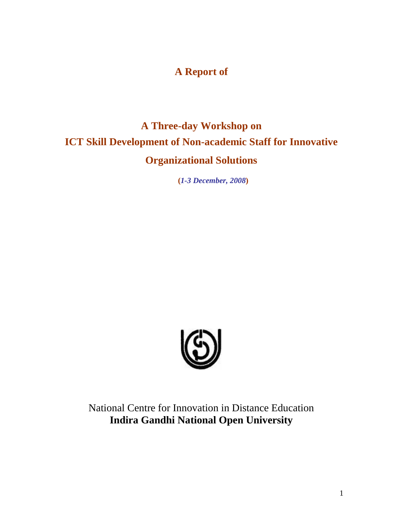# **A Report of**

# **A Three-day Workshop on ICT Skill Development of Non-academic Staff for Innovative Organizational Solutions**

**(***1-3 December, 2008***)**



National Centre for Innovation in Distance Education **Indira Gandhi National Open University**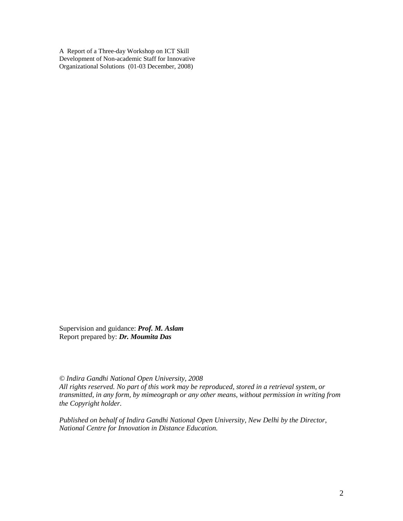A Report of a Three-day Workshop on ICT Skill Development of Non-academic Staff for Innovative Organizational Solutions (01-03 December, 2008)

Supervision and guidance: *Prof. M. Aslam* Report prepared by: *Dr. Moumita Das*

*© Indira Gandhi National Open University, 2008*

*All rights reserved. No part of this work may be reproduced, stored in a retrieval system, or transmitted, in any form, by mimeograph or any other means, without permission in writing from the Copyright holder.*

*Published on behalf of Indira Gandhi National Open University, New Delhi by the Director, National Centre for Innovation in Distance Education.*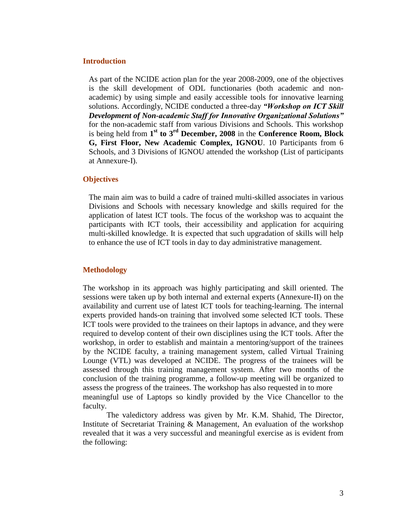#### **Introduction**

As part of the NCIDE action plan for the year 2008-2009, one of the objectives is the skill development of ODL functionaries (both academic and nonacademic) by using simple and easily accessible tools for innovative learning solutions. Accordingly, NCIDE conducted a three-day *"Workshop on ICT Skill Development of Non-academic Staff for Innovative Organizational Solutions"* for the non-academic staff from various Divisions and Schools. This workshop is being held from **1 st to 3rd December, 2008** in the **Conference Room, Block G, First Floor, New Academic Complex, IGNOU**. 10 Participants from 6 Schools, and 3 Divisions of IGNOU attended the workshop (List of participants at Annexure-I).

#### **Objectives**

The main aim was to build a cadre of trained multi-skilled associates in various Divisions and Schools with necessary knowledge and skills required for the application of latest ICT tools. The focus of the workshop was to acquaint the participants with ICT tools, their accessibility and application for acquiring multi-skilled knowledge. It is expected that such upgradation of skills will help to enhance the use of ICT tools in day to day administrative management.

#### **Methodology**

The workshop in its approach was highly participating and skill oriented. The sessions were taken up by both internal and external experts (Annexure-II) on the availability and current use of latest ICT tools for teaching-learning. The internal experts provided hands-on training that involved some selected ICT tools. These ICT tools were provided to the trainees on their laptops in advance, and they were required to develop content of their own disciplines using the ICT tools. After the workshop, in order to establish and maintain a mentoring/support of the trainees by the NCIDE faculty, a training management system, called Virtual Training Lounge (VTL) was developed at NCIDE. The progress of the trainees will be assessed through this training management system. After two months of the conclusion of the training programme, a follow-up meeting will be organized to assess the progress of the trainees. The workshop has also requested in to more meaningful use of Laptops so kindly provided by the Vice Chancellor to the faculty.

The valedictory address was given by Mr. K.M. Shahid, The Director, Institute of Secretariat Training & Management, An evaluation of the workshop revealed that it was a very successful and meaningful exercise as is evident from the following: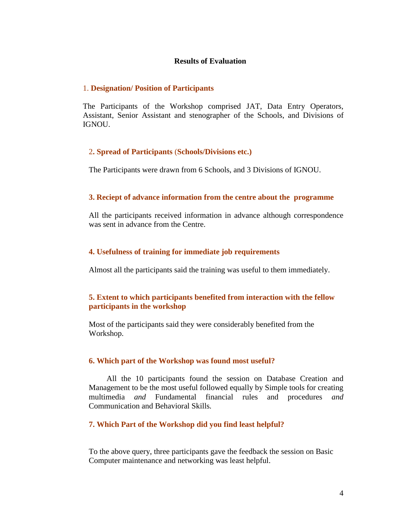#### **Results of Evaluation**

#### 1. **Designation/ Position of Participants**

The Participants of the Workshop comprised JAT, Data Entry Operators, Assistant, Senior Assistant and stenographer of the Schools, and Divisions of IGNOU.

#### 2**. Spread of Participants** (**Schools/Divisions etc.)**

The Participants were drawn from 6 Schools, and 3 Divisions of IGNOU.

#### **3. Reciept of advance information from the centre about the programme**

All the participants received information in advance although correspondence was sent in advance from the Centre.

#### **4. Usefulness of training for immediate job requirements**

Almost all the participants said the training was useful to them immediately.

#### **5. Extent to which participants benefited from interaction with the fellow participants in the workshop**

Most of the participants said they were considerably benefited from the Workshop.

#### **6. Which part of the Workshop was found most useful?**

All the 10 participants found the session on Database Creation and Management to be the most useful followed equally by Simple tools for creating multimedia *and* Fundamental financial rules and procedures *and*  Communication and Behavioral Skills*.*

#### **7. Which Part of the Workshop did you find least helpful?**

To the above query, three participants gave the feedback the session on Basic Computer maintenance and networking was least helpful.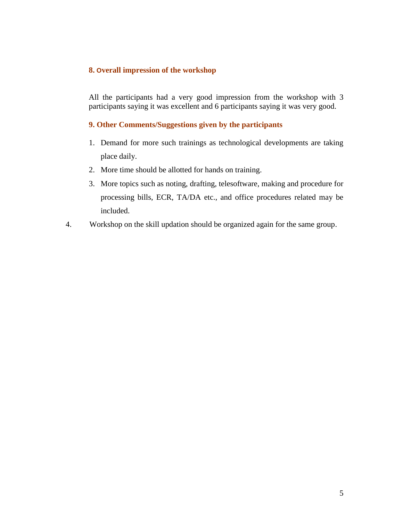#### **8. Overall impression of the workshop**

All the participants had a very good impression from the workshop with 3 participants saying it was excellent and 6 participants saying it was very good.

#### **9. Other Comments/Suggestions given by the participants**

- 1. Demand for more such trainings as technological developments are taking place daily.
- 2. More time should be allotted for hands on training.
- 3. More topics such as noting, drafting, telesoftware, making and procedure for processing bills, ECR, TA/DA etc., and office procedures related may be included.
- 4. Workshop on the skill updation should be organized again for the same group.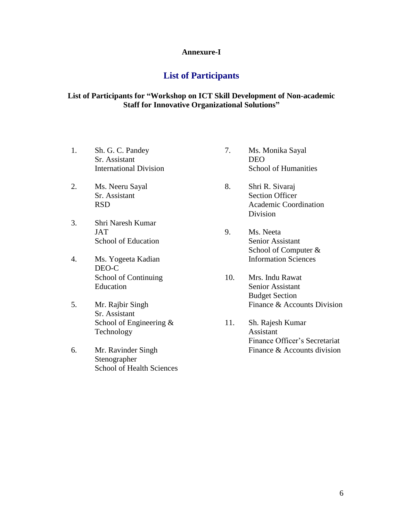#### **Annexure-I**

### **List of Participants**

#### **List of Participants for "Workshop on ICT Skill Development of Non-academic Staff for Innovative Organizational Solutions"**

- 1. Sh. G. C. Pandey Sr. Assistant International Division
- 2. Ms. Neeru Sayal Sr. Assistant RSD
- 3. Shri Naresh Kumar JAT School of Education
- 4. Ms. Yogeeta Kadian DEO-C School of Continuing Education
- 5. Mr. Rajbir Singh Sr. Assistant School of Engineering & Technology
- 6. Mr. Ravinder Singh Stenographer School of Health Sciences
- 7. Ms. Monika Sayal DEO School of Humanities
- 8. Shri R. Sivaraj Section Officer Academic Coordination Division
- 9. Ms. Neeta Senior Assistant School of Computer & Information Sciences
- 10. Mrs. Indu Rawat Senior Assistant Budget Section Finance & Accounts Division
- 11. Sh. Rajesh Kumar Assistant Finance Officer's Secretariat Finance & Accounts division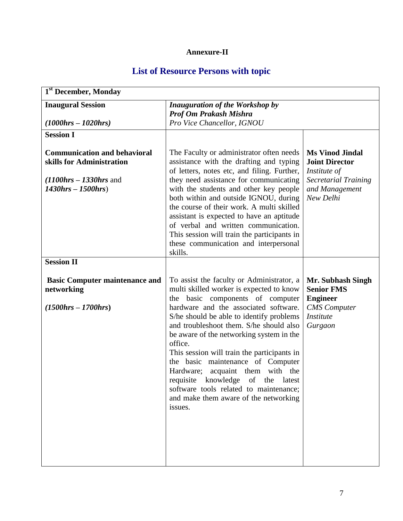# **Annexure-II**

# **List of Resource Persons with topic**

| 1 <sup>st</sup> December, Monday                                                                                             |                                                                                                                                                                                                                                                                                                                                                                                                                                                                                                                                                                                |                                                                                                                               |
|------------------------------------------------------------------------------------------------------------------------------|--------------------------------------------------------------------------------------------------------------------------------------------------------------------------------------------------------------------------------------------------------------------------------------------------------------------------------------------------------------------------------------------------------------------------------------------------------------------------------------------------------------------------------------------------------------------------------|-------------------------------------------------------------------------------------------------------------------------------|
| <b>Inaugural Session</b><br>$(1000 hrs - 1020 hrs)$                                                                          | <b>Inauguration of the Workshop by</b><br><b>Prof Om Prakash Mishra</b><br>Pro Vice Chancellor, IGNOU                                                                                                                                                                                                                                                                                                                                                                                                                                                                          |                                                                                                                               |
| <b>Session I</b>                                                                                                             |                                                                                                                                                                                                                                                                                                                                                                                                                                                                                                                                                                                |                                                                                                                               |
| <b>Communication and behavioral</b><br>skills for Administration<br>$(1100$ hrs $- 1330$ hrs and<br>$1430$ hrs – $1500$ hrs) | The Faculty or administrator often needs<br>assistance with the drafting and typing<br>of letters, notes etc, and filing. Further,<br>they need assistance for communicating<br>with the students and other key people<br>both within and outside IGNOU, during<br>the course of their work. A multi skilled<br>assistant is expected to have an aptitude<br>of verbal and written communication.<br>This session will train the participants in<br>these communication and interpersonal<br>skills.                                                                           | <b>Ms Vinod Jindal</b><br><b>Joint Director</b><br>Institute of<br><b>Secretarial Training</b><br>and Management<br>New Delhi |
| <b>Session II</b>                                                                                                            |                                                                                                                                                                                                                                                                                                                                                                                                                                                                                                                                                                                |                                                                                                                               |
| <b>Basic Computer maintenance and</b><br>networking<br>$(1500 hrs - 1700 hrs)$                                               | To assist the faculty or Administrator, a<br>multi skilled worker is expected to know<br>the basic components of computer<br>hardware and the associated software.<br>S/he should be able to identify problems<br>and troubleshoot them. S/he should also<br>be aware of the networking system in the<br>office.<br>This session will train the participants in<br>the basic maintenance of Computer<br>Hardware;<br>acquaint them with the<br>requisite knowledge of the latest<br>software tools related to maintenance;<br>and make them aware of the networking<br>issues. | Mr. Subhash Singh<br><b>Senior FMS</b><br><b>Engineer</b><br><b>CMS</b> Computer<br><b>Institute</b><br>Gurgaon               |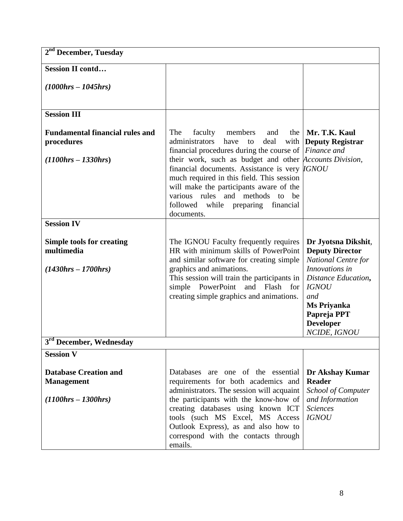| 2 <sup>nd</sup> December, Tuesday                                         |                                                                                                                                                                                                                                                                                                                    |                                                                                                                                             |
|---------------------------------------------------------------------------|--------------------------------------------------------------------------------------------------------------------------------------------------------------------------------------------------------------------------------------------------------------------------------------------------------------------|---------------------------------------------------------------------------------------------------------------------------------------------|
| <b>Session II contd</b>                                                   |                                                                                                                                                                                                                                                                                                                    |                                                                                                                                             |
| $(1000 hrs - 1045 hrs)$                                                   |                                                                                                                                                                                                                                                                                                                    |                                                                                                                                             |
|                                                                           |                                                                                                                                                                                                                                                                                                                    |                                                                                                                                             |
| <b>Session III</b>                                                        |                                                                                                                                                                                                                                                                                                                    |                                                                                                                                             |
| <b>Fundamental financial rules and</b><br>procedures                      | The<br>faculty<br>the<br>members<br>and<br>administrators<br>have<br>deal<br>with<br>to<br>financial procedures during the course of <i>Finance and</i>                                                                                                                                                            | Mr. T.K. Kaul<br><b>Deputy Registrar</b>                                                                                                    |
| $(1100 hrs - 1330 hrs)$                                                   | their work, such as budget and other <i>Accounts Division</i> ,<br>financial documents. Assistance is very <i>IGNOU</i><br>much required in this field. This session<br>will make the participants aware of the<br>various rules and methods<br>be<br>to<br>followed<br>while preparing<br>financial<br>documents. |                                                                                                                                             |
| <b>Session IV</b>                                                         |                                                                                                                                                                                                                                                                                                                    |                                                                                                                                             |
| <b>Simple tools for creating</b><br>multimedia<br>$(1430 hrs - 1700 hrs)$ | The IGNOU Faculty frequently requires<br>HR with minimum skills of PowerPoint<br>and similar software for creating simple<br>graphics and animations.<br>This session will train the participants in<br>simple PowerPoint and Flash for<br>creating simple graphics and animations.                                | Dr Jyotsna Dikshit,<br><b>Deputy Director</b><br><b>National Centre for</b><br>Innovations in<br>Distance Education,<br><b>IGNOU</b><br>and |
|                                                                           |                                                                                                                                                                                                                                                                                                                    | <b>Ms Priyanka</b><br>Papreja PPT<br><b>Developer</b><br>NCIDE, IGNOU                                                                       |
| <sup>3rd</sup> December, Wednesday                                        |                                                                                                                                                                                                                                                                                                                    |                                                                                                                                             |
| <b>Session V</b>                                                          |                                                                                                                                                                                                                                                                                                                    |                                                                                                                                             |
| <b>Database Creation and</b>                                              | Databases are one of the essential<br>requirements for both academics and                                                                                                                                                                                                                                          | Dr Akshay Kumar<br><b>Reader</b>                                                                                                            |
| <b>Management</b><br>$(1100 hrs - 1300 hrs)$                              | administrators. The session will acquaint<br>the participants with the know-how of<br>creating databases using known ICT<br>tools (such MS Excel, MS Access<br>Outlook Express), as and also how to<br>correspond with the contacts through<br>emails.                                                             | School of Computer<br>and Information<br><b>Sciences</b><br><b>IGNOU</b>                                                                    |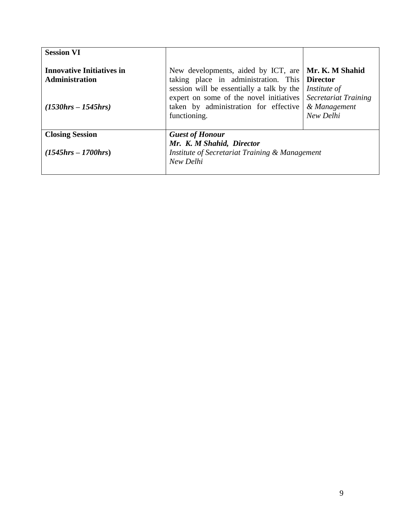| <b>Session VI</b>                                                                    |                                                                                                                                                                                                                                       |                                                                                      |
|--------------------------------------------------------------------------------------|---------------------------------------------------------------------------------------------------------------------------------------------------------------------------------------------------------------------------------------|--------------------------------------------------------------------------------------|
| <b>Innovative Initiatives in</b><br><b>Administration</b><br>$(1530 hrs - 1545 hrs)$ | New developments, aided by ICT, are<br>taking place in administration. This Director<br>session will be essentially a talk by the<br>expert on some of the novel initiatives<br>taken by administration for effective<br>functioning. | Mr. K. M Shahid<br>Institute of<br>Secretariat Training<br>& Management<br>New Delhi |
| <b>Closing Session</b><br>$(1545hrs - 1700hrs)$                                      | <b>Guest of Honour</b><br>Mr. K. M Shahid, Director<br>Institute of Secretariat Training & Management<br>New Delhi                                                                                                                    |                                                                                      |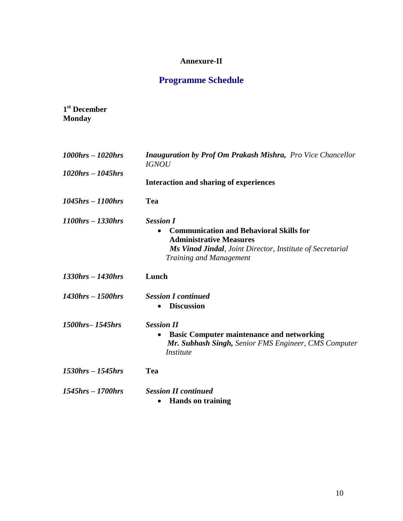### **Annexure-II**

# **Programme Schedule**

| 1 <sup>st</sup> December |  |
|--------------------------|--|
| <b>Monday</b>            |  |

| $1000$ hrs $-1020$ hrs                | Inauguration by Prof Om Prakash Mishra, Pro Vice Chancellor<br><b>IGNOU</b>                   |
|---------------------------------------|-----------------------------------------------------------------------------------------------|
| $1020$ hrs $- 1045$ hrs               |                                                                                               |
|                                       | <b>Interaction and sharing of experiences</b>                                                 |
| $1045$ <i>hrs</i> $- 1100$ <i>hrs</i> | Tea                                                                                           |
| $1100$ hrs – 1330hrs                  | <b>Session I</b>                                                                              |
|                                       | <b>Communication and Behavioral Skills for</b><br>$\bullet$<br><b>Administrative Measures</b> |
|                                       | Ms Vinod Jindal, Joint Director, Institute of Secretarial                                     |
|                                       | <b>Training and Management</b>                                                                |
| $1330$ hrs – $1430$ hrs               | Lunch                                                                                         |
| $1430$ hrs $- 1500$ hrs               | <b>Session I continued</b>                                                                    |
|                                       | <b>Discussion</b>                                                                             |
| 1500hrs-1545hrs                       | <b>Session II</b>                                                                             |
|                                       | <b>Basic Computer maintenance and networking</b><br>٠                                         |
|                                       | Mr. Subhash Singh, Senior FMS Engineer, CMS Computer<br>Institute                             |
| $1530$ hrs – $1545$ hrs               | Tea                                                                                           |
| $1545$ <i>hrs</i> $- 1700$ <i>hrs</i> | <b>Session II continued</b>                                                                   |
|                                       | <b>Hands on training</b><br>$\bullet$                                                         |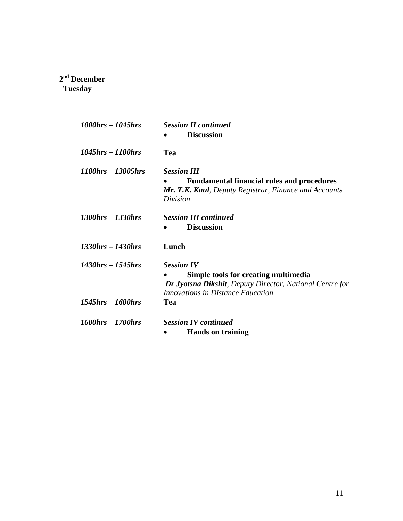### **2 nd December Tuesday**

| 1000hrs – 1045hrs  | <b>Session II continued</b><br><b>Discussion</b>                                                                                                                  |
|--------------------|-------------------------------------------------------------------------------------------------------------------------------------------------------------------|
|                    |                                                                                                                                                                   |
| 1045hrs – 1100hrs  | Tea                                                                                                                                                               |
| 1100hrs – 13005hrs | <b>Session III</b><br><b>Fundamental financial rules and procedures</b><br>Mr. T.K. Kaul, Deputy Registrar, Finance and Accounts<br>Division                      |
| 1300hrs – 1330hrs  | <b>Session III continued</b><br><b>Discussion</b>                                                                                                                 |
| 1330hrs – 1430hrs  | Lunch                                                                                                                                                             |
| 1430hrs – 1545hrs  | <b>Session IV</b><br>Simple tools for creating multimedia<br>Dr Jyotsna Dikshit, Deputy Director, National Centre for<br><b>Innovations in Distance Education</b> |
| 1545hrs – 1600hrs  | <b>Tea</b>                                                                                                                                                        |
| 1600hrs – 1700hrs  | <b>Session IV continued</b><br><b>Hands on training</b>                                                                                                           |